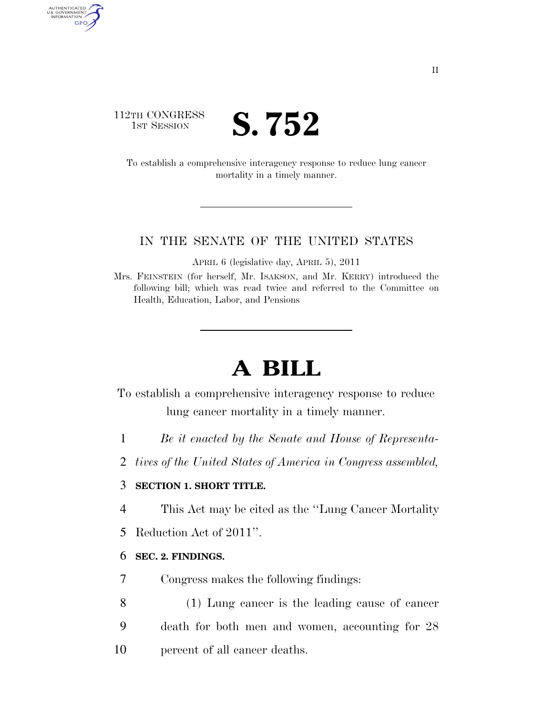### 112TH CONGRESS **IST SESSION S. 752**

AUTHENTICATED<br>U.S. GOVERNMENT<br>INFORMATION GPO

> To establish a comprehensive interagency response to reduce lung cancer mortality in a timely manner.

#### IN THE SENATE OF THE UNITED STATES

APRIL 6 (legislative day, APRIL 5), 2011

Mrs. FEINSTEIN (for herself, Mr. ISAKSON, and Mr. KERRY) introduced the following bill; which was read twice and referred to the Committee on Health, Education, Labor, and Pensions

# **A BILL**

To establish a comprehensive interagency response to reduce lung cancer mortality in a timely manner.

- 1 *Be it enacted by the Senate and House of Representa-*
- 2 *tives of the United States of America in Congress assembled,*

#### 3 **SECTION 1. SHORT TITLE.**

- 4 This Act may be cited as the ''Lung Cancer Mortality
- 5 Reduction Act of 2011''.

#### 6 **SEC. 2. FINDINGS.**

- 7 Congress makes the following findings:
- 8 (1) Lung cancer is the leading cause of cancer 9 death for both men and women, accounting for 28 10 percent of all cancer deaths.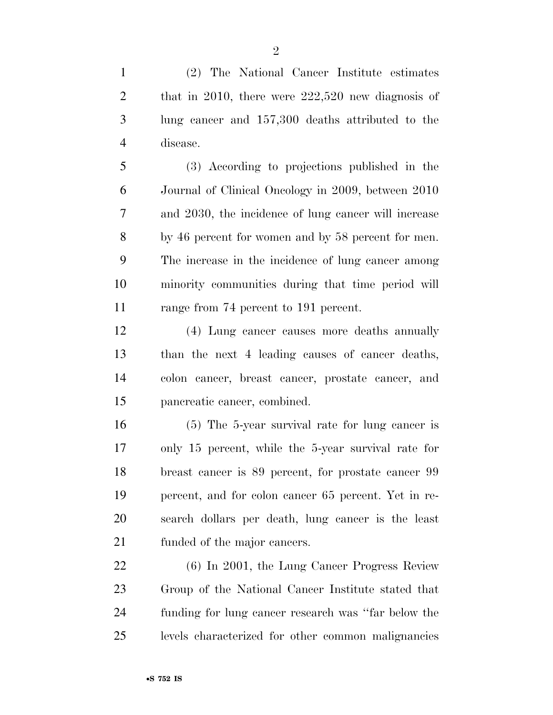(2) The National Cancer Institute estimates 2 that in 2010, there were 222,520 new diagnosis of lung cancer and 157,300 deaths attributed to the disease.

 (3) According to projections published in the Journal of Clinical Oncology in 2009, between 2010 and 2030, the incidence of lung cancer will increase by 46 percent for women and by 58 percent for men. The increase in the incidence of lung cancer among minority communities during that time period will 11 range from 74 percent to 191 percent.

 (4) Lung cancer causes more deaths annually than the next 4 leading causes of cancer deaths, colon cancer, breast cancer, prostate cancer, and pancreatic cancer, combined.

 (5) The 5-year survival rate for lung cancer is only 15 percent, while the 5-year survival rate for breast cancer is 89 percent, for prostate cancer 99 percent, and for colon cancer 65 percent. Yet in re- search dollars per death, lung cancer is the least funded of the major cancers.

 (6) In 2001, the Lung Cancer Progress Review Group of the National Cancer Institute stated that funding for lung cancer research was ''far below the levels characterized for other common malignancies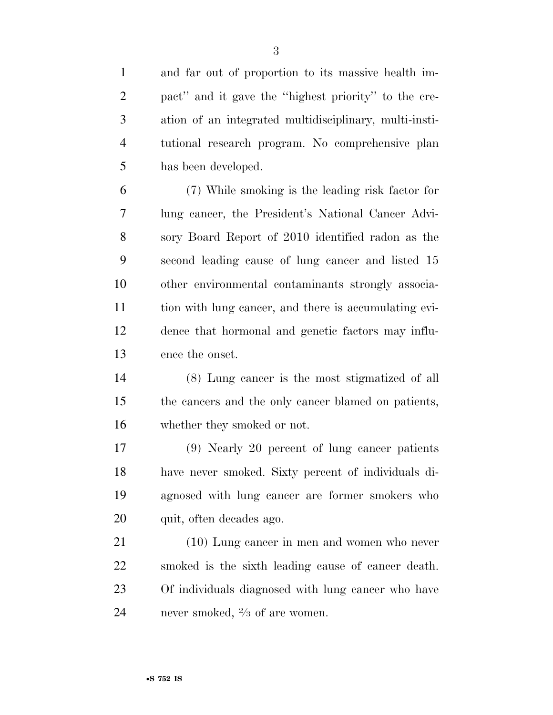and far out of proportion to its massive health im- pact'' and it gave the ''highest priority'' to the cre- ation of an integrated multidisciplinary, multi-insti- tutional research program. No comprehensive plan has been developed. (7) While smoking is the leading risk factor for lung cancer, the President's National Cancer Advi- sory Board Report of 2010 identified radon as the second leading cause of lung cancer and listed 15 other environmental contaminants strongly associa- tion with lung cancer, and there is accumulating evi- dence that hormonal and genetic factors may influ- ence the onset. (8) Lung cancer is the most stigmatized of all the cancers and the only cancer blamed on patients, whether they smoked or not. (9) Nearly 20 percent of lung cancer patients have never smoked. Sixty percent of individuals di- agnosed with lung cancer are former smokers who 20 quit, often decades ago. (10) Lung cancer in men and women who never smoked is the sixth leading cause of cancer death. Of individuals diagnosed with lung cancer who have 24 never smoked,  $\frac{2}{3}$  of are women.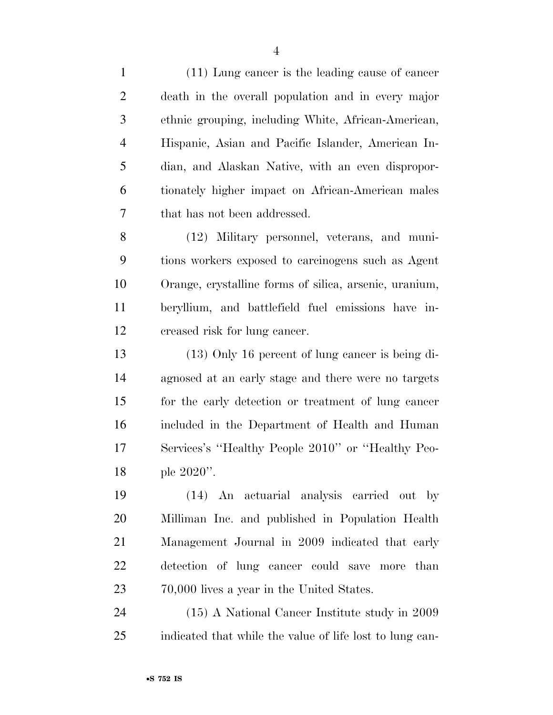(11) Lung cancer is the leading cause of cancer death in the overall population and in every major ethnic grouping, including White, African-American, Hispanic, Asian and Pacific Islander, American In- dian, and Alaskan Native, with an even dispropor- tionately higher impact on African-American males that has not been addressed.

 (12) Military personnel, veterans, and muni- tions workers exposed to carcinogens such as Agent Orange, crystalline forms of silica, arsenic, uranium, beryllium, and battlefield fuel emissions have in-creased risk for lung cancer.

 (13) Only 16 percent of lung cancer is being di- agnosed at an early stage and there were no targets for the early detection or treatment of lung cancer included in the Department of Health and Human Services's ''Healthy People 2010'' or ''Healthy Peo-ple 2020''.

 (14) An actuarial analysis carried out by Milliman Inc. and published in Population Health Management Journal in 2009 indicated that early detection of lung cancer could save more than 70,000 lives a year in the United States.

 (15) A National Cancer Institute study in 2009 indicated that while the value of life lost to lung can-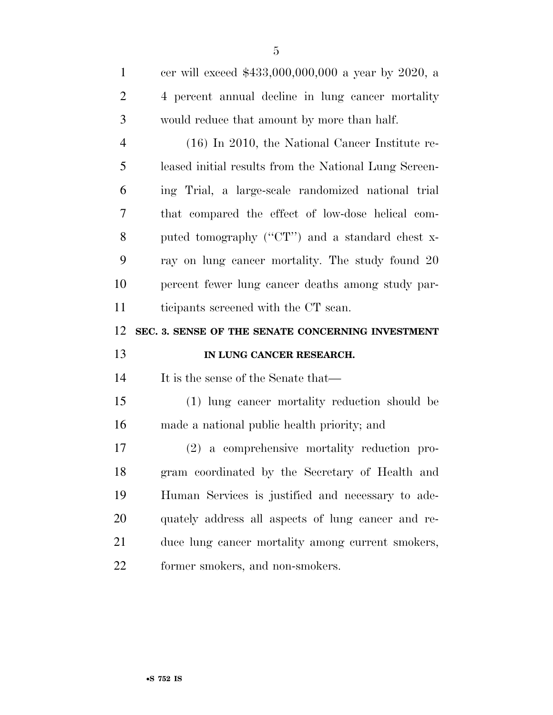| $\mathbf{1}$   | cer will exceed \$433,000,000,000 a year by 2020, a   |
|----------------|-------------------------------------------------------|
| $\overline{2}$ | 4 percent annual decline in lung cancer mortality     |
| 3              | would reduce that amount by more than half.           |
| $\overline{4}$ | $(16)$ In 2010, the National Cancer Institute re-     |
| 5              | leased initial results from the National Lung Screen- |
| 6              | ing Trial, a large-scale randomized national trial    |
| $\overline{7}$ | that compared the effect of low-dose helical com-     |
| 8              | puted tomography ("CT") and a standard chest x-       |
| 9              | ray on lung cancer mortality. The study found 20      |
| 10             | percent fewer lung cancer deaths among study par-     |
|                | ticipants screened with the CT scan.                  |
| 11             |                                                       |
| 12             | SEC. 3. SENSE OF THE SENATE CONCERNING INVESTMENT     |
| 13             | IN LUNG CANCER RESEARCH.                              |
| 14             | It is the sense of the Senate that—                   |
| 15             | (1) lung cancer mortality reduction should be         |
| 16             | made a national public health priority; and           |
| 17             | (2) a comprehensive mortality reduction pro-          |
| 18             | gram coordinated by the Secretary of Health and       |
| 19             | Human Services is justified and necessary to ade-     |
| 20             | quately address all aspects of lung cancer and re-    |
| 21             | duce lung cancer mortality among current smokers,     |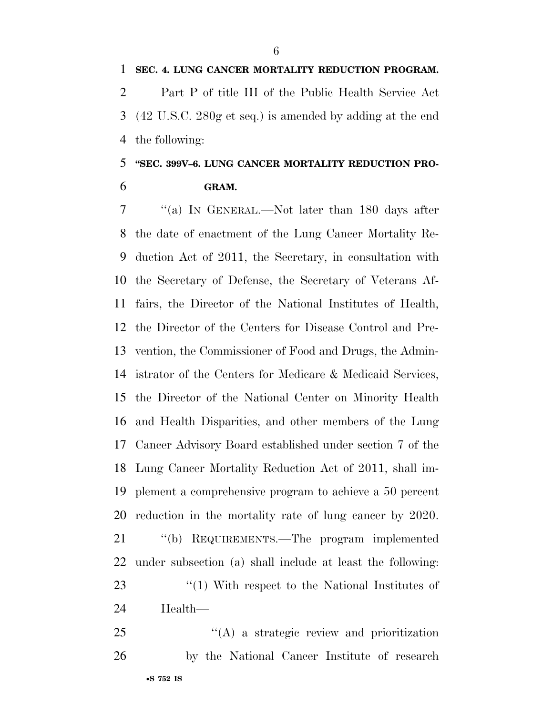**SEC. 4. LUNG CANCER MORTALITY REDUCTION PROGRAM.**  Part P of title III of the Public Health Service Act (42 U.S.C. 280g et seq.) is amended by adding at the end the following:

# **''SEC. 399V–6. LUNG CANCER MORTALITY REDUCTION PRO-GRAM.**

 ''(a) IN GENERAL.—Not later than 180 days after the date of enactment of the Lung Cancer Mortality Re- duction Act of 2011, the Secretary, in consultation with the Secretary of Defense, the Secretary of Veterans Af- fairs, the Director of the National Institutes of Health, the Director of the Centers for Disease Control and Pre- vention, the Commissioner of Food and Drugs, the Admin- istrator of the Centers for Medicare & Medicaid Services, the Director of the National Center on Minority Health and Health Disparities, and other members of the Lung Cancer Advisory Board established under section 7 of the Lung Cancer Mortality Reduction Act of 2011, shall im- plement a comprehensive program to achieve a 50 percent reduction in the mortality rate of lung cancer by 2020. ''(b) REQUIREMENTS.—The program implemented under subsection (a) shall include at least the following: 23 ''(1) With respect to the National Institutes of Health—

•**S 752 IS** 25 "(A) a strategic review and prioritization by the National Cancer Institute of research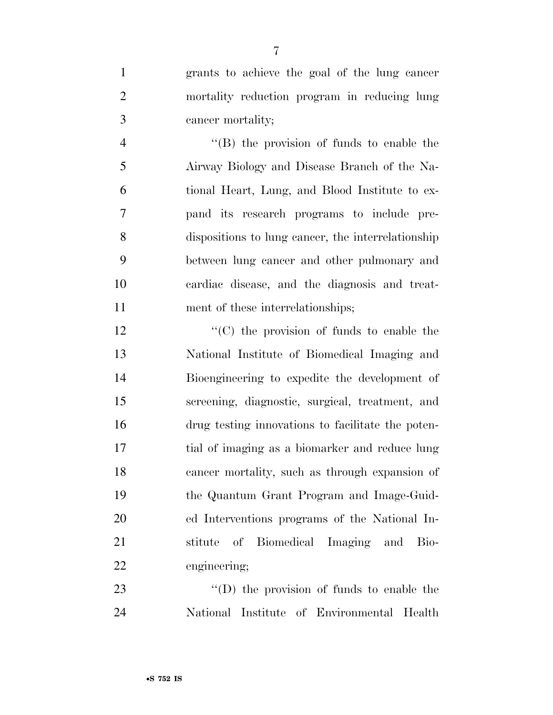grants to achieve the goal of the lung cancer mortality reduction program in reducing lung cancer mortality;

 ''(B) the provision of funds to enable the Airway Biology and Disease Branch of the Na- tional Heart, Lung, and Blood Institute to ex- pand its research programs to include pre- dispositions to lung cancer, the interrelationship between lung cancer and other pulmonary and cardiac disease, and the diagnosis and treat-11 ment of these interrelationships;

 $\cdot$  (C) the provision of funds to enable the National Institute of Biomedical Imaging and Bioengineering to expedite the development of screening, diagnostic, surgical, treatment, and drug testing innovations to facilitate the poten- tial of imaging as a biomarker and reduce lung cancer mortality, such as through expansion of the Quantum Grant Program and Image-Guid- ed Interventions programs of the National In- stitute of Biomedical Imaging and Bio-engineering;

23 "'(D) the provision of funds to enable the National Institute of Environmental Health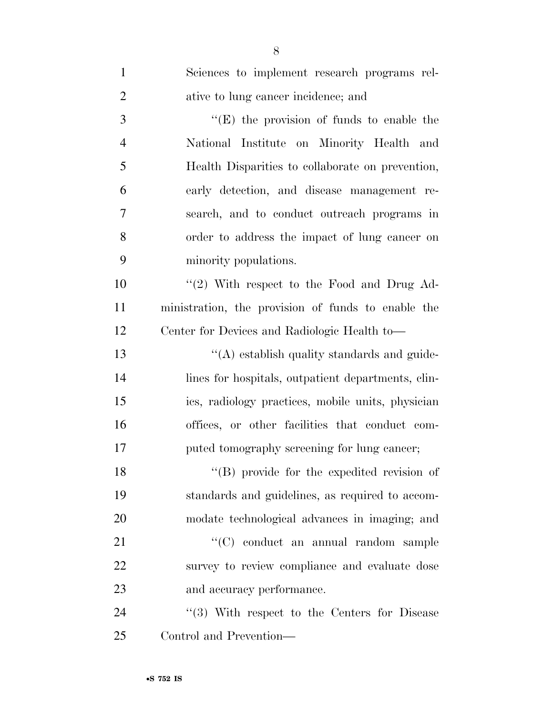| $\mathbf{1}$   | Sciences to implement research programs rel-       |
|----------------|----------------------------------------------------|
| $\overline{2}$ | ative to lung cancer incidence; and                |
| $\mathfrak{Z}$ | $\lq\lq$ (E) the provision of funds to enable the  |
| $\overline{4}$ | National Institute on Minority Health and          |
| 5              | Health Disparities to collaborate on prevention,   |
| 6              | early detection, and disease management re-        |
| $\tau$         | search, and to conduct outreach programs in        |
| 8              | order to address the impact of lung cancer on      |
| 9              | minority populations.                              |
| 10             | $\lq(2)$ With respect to the Food and Drug Ad-     |
| 11             | ministration, the provision of funds to enable the |
| 12             | Center for Devices and Radiologic Health to-       |
| 13             | "(A) establish quality standards and guide-        |
| 14             | lines for hospitals, outpatient departments, clin- |
| 15             | ics, radiology practices, mobile units, physician  |
| 16             | offices, or other facilities that conduct com-     |
| 17             | puted tomography screening for lung cancer;        |
| 18             | "(B) provide for the expedited revision of         |
| 19             | standards and guidelines, as required to accom-    |
| 20             | modate technological advances in imaging; and      |
| 21             | "(C) conduct an annual random sample               |
| 22             | survey to review compliance and evaluate dose      |
| 23             | and accuracy performance.                          |
| 24             | $(3)$ With respect to the Centers for Disease      |
| 25             | Control and Prevention—                            |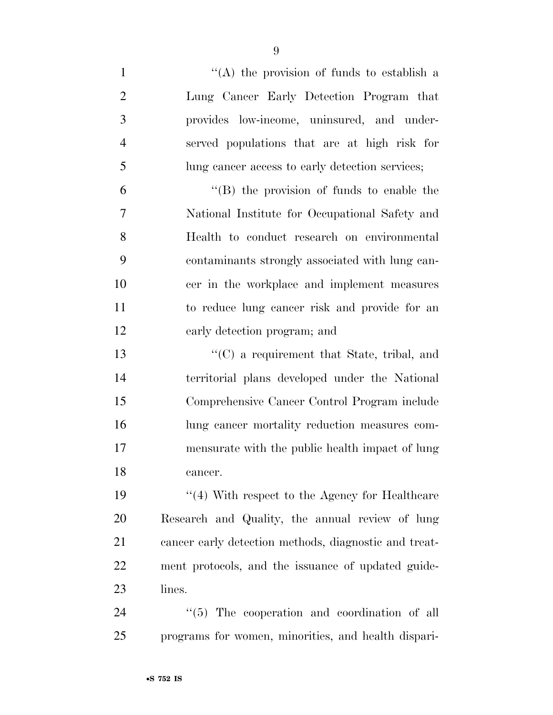| $\mathbf{1}$   | "(A) the provision of funds to establish a            |
|----------------|-------------------------------------------------------|
| $\overline{2}$ | Lung Cancer Early Detection Program that              |
| 3              | provides low-income, uninsured, and under-            |
| $\overline{4}$ | served populations that are at high risk for          |
| 5              | lung cancer access to early detection services;       |
| 6              | "(B) the provision of funds to enable the             |
| 7              | National Institute for Occupational Safety and        |
| 8              | Health to conduct research on environmental           |
| 9              | contaminants strongly associated with lung can-       |
| 10             | cer in the workplace and implement measures           |
| 11             | to reduce lung cancer risk and provide for an         |
| 12             | early detection program; and                          |
| 13             | $\lq\lq$ a requirement that State, tribal, and        |
| 14             | territorial plans developed under the National        |
| 15             | Comprehensive Cancer Control Program include          |
| 16             | lung cancer mortality reduction measures com-         |
| 17             | mensurate with the public health impact of lung       |
| 18             | cancer.                                               |
| 19             | $\cdot$ (4) With respect to the Agency for Healthcare |
| 20             | Research and Quality, the annual review of lung       |
| 21             | cancer early detection methods, diagnostic and treat- |
| <u>22</u>      | ment protocols, and the issuance of updated guide-    |
| 23             | lines.                                                |
| 24             | "(5) The cooperation and coordination of all          |
| 25             | programs for women, minorities, and health dispari-   |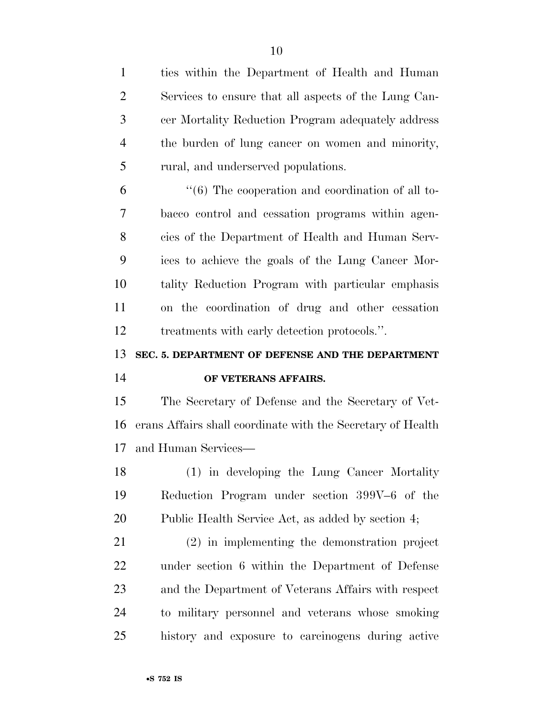ties within the Department of Health and Human Services to ensure that all aspects of the Lung Can- cer Mortality Reduction Program adequately address the burden of lung cancer on women and minority, rural, and underserved populations.

 ''(6) The cooperation and coordination of all to- bacco control and cessation programs within agen- cies of the Department of Health and Human Serv- ices to achieve the goals of the Lung Cancer Mor- tality Reduction Program with particular emphasis on the coordination of drug and other cessation treatments with early detection protocols.''.

# **SEC. 5. DEPARTMENT OF DEFENSE AND THE DEPARTMENT OF VETERANS AFFAIRS.**

 The Secretary of Defense and the Secretary of Vet- erans Affairs shall coordinate with the Secretary of Health and Human Services—

 (1) in developing the Lung Cancer Mortality Reduction Program under section 399V–6 of the Public Health Service Act, as added by section 4;

 (2) in implementing the demonstration project under section 6 within the Department of Defense and the Department of Veterans Affairs with respect to military personnel and veterans whose smoking history and exposure to carcinogens during active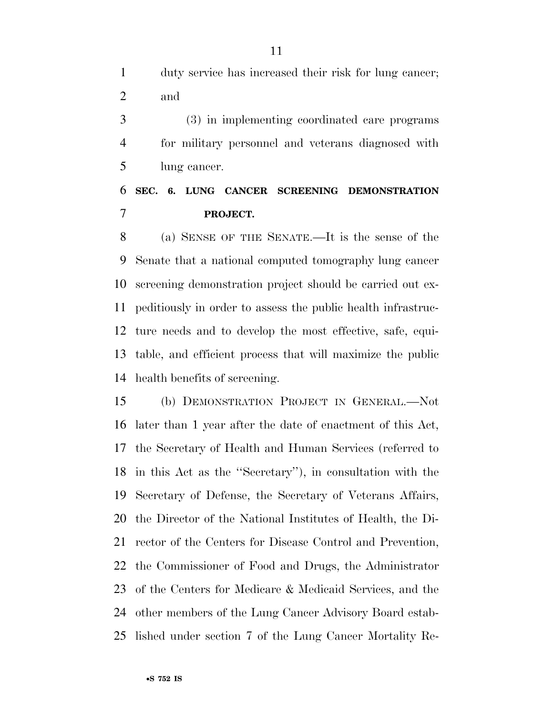duty service has increased their risk for lung cancer; and

 (3) in implementing coordinated care programs for military personnel and veterans diagnosed with lung cancer.

## **SEC. 6. LUNG CANCER SCREENING DEMONSTRATION PROJECT.**

 (a) SENSE OF THE SENATE.—It is the sense of the Senate that a national computed tomography lung cancer screening demonstration project should be carried out ex- peditiously in order to assess the public health infrastruc- ture needs and to develop the most effective, safe, equi- table, and efficient process that will maximize the public health benefits of screening.

 (b) DEMONSTRATION PROJECT IN GENERAL.—Not later than 1 year after the date of enactment of this Act, the Secretary of Health and Human Services (referred to in this Act as the ''Secretary''), in consultation with the Secretary of Defense, the Secretary of Veterans Affairs, the Director of the National Institutes of Health, the Di- rector of the Centers for Disease Control and Prevention, the Commissioner of Food and Drugs, the Administrator of the Centers for Medicare & Medicaid Services, and the other members of the Lung Cancer Advisory Board estab-lished under section 7 of the Lung Cancer Mortality Re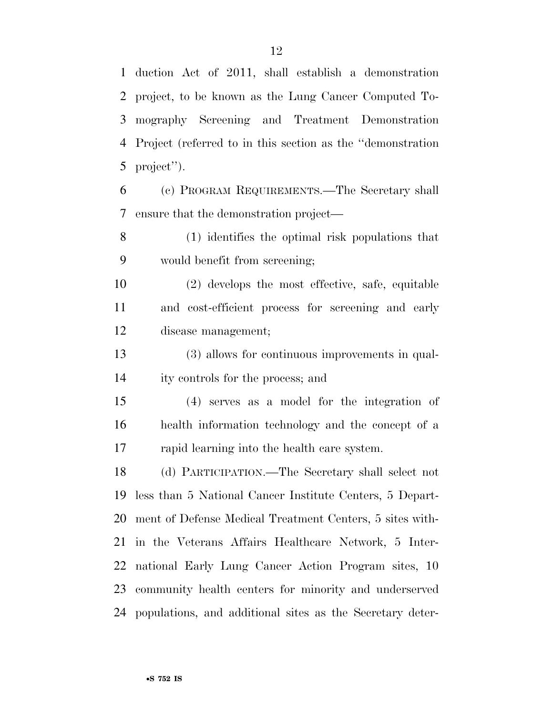duction Act of 2011, shall establish a demonstration project, to be known as the Lung Cancer Computed To- mography Screening and Treatment Demonstration Project (referred to in this section as the ''demonstration project'').

 (c) PROGRAM REQUIREMENTS.—The Secretary shall ensure that the demonstration project—

 (1) identifies the optimal risk populations that would benefit from screening;

 (2) develops the most effective, safe, equitable and cost-efficient process for screening and early disease management;

 (3) allows for continuous improvements in qual-ity controls for the process; and

 (4) serves as a model for the integration of health information technology and the concept of a rapid learning into the health care system.

 (d) PARTICIPATION.—The Secretary shall select not less than 5 National Cancer Institute Centers, 5 Depart- ment of Defense Medical Treatment Centers, 5 sites with- in the Veterans Affairs Healthcare Network, 5 Inter- national Early Lung Cancer Action Program sites, 10 community health centers for minority and underserved populations, and additional sites as the Secretary deter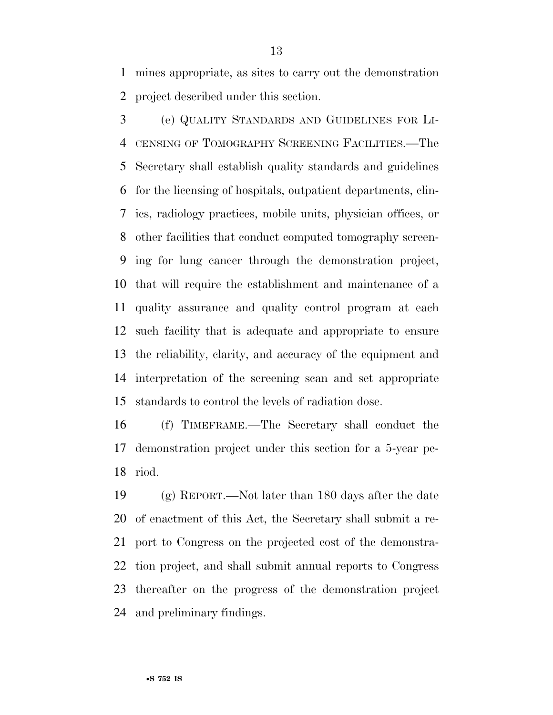mines appropriate, as sites to carry out the demonstration project described under this section.

 (e) QUALITY STANDARDS AND GUIDELINES FOR LI- CENSING OF TOMOGRAPHY SCREENING FACILITIES.—The Secretary shall establish quality standards and guidelines for the licensing of hospitals, outpatient departments, clin- ics, radiology practices, mobile units, physician offices, or other facilities that conduct computed tomography screen- ing for lung cancer through the demonstration project, that will require the establishment and maintenance of a quality assurance and quality control program at each such facility that is adequate and appropriate to ensure the reliability, clarity, and accuracy of the equipment and interpretation of the screening scan and set appropriate standards to control the levels of radiation dose.

 (f) TIMEFRAME.—The Secretary shall conduct the demonstration project under this section for a 5-year pe-riod.

 (g) REPORT.—Not later than 180 days after the date of enactment of this Act, the Secretary shall submit a re- port to Congress on the projected cost of the demonstra- tion project, and shall submit annual reports to Congress thereafter on the progress of the demonstration project and preliminary findings.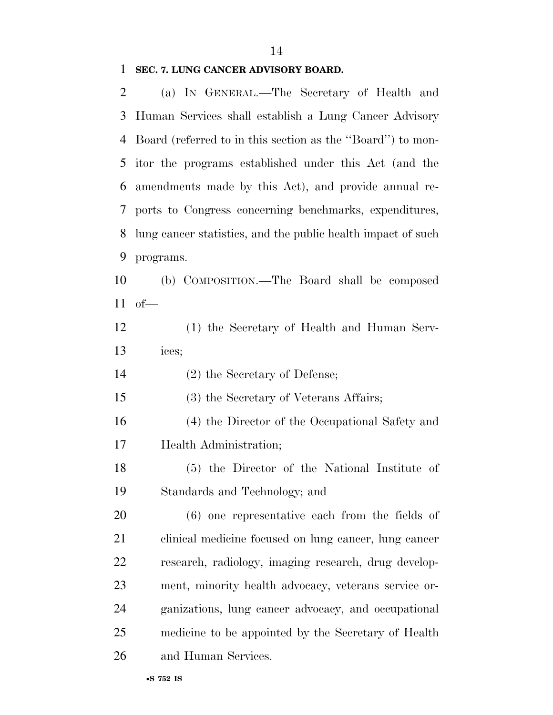### **SEC. 7. LUNG CANCER ADVISORY BOARD.**

| 2  | (a) IN GENERAL.—The Secretary of Health and                  |
|----|--------------------------------------------------------------|
| 3  | Human Services shall establish a Lung Cancer Advisory        |
| 4  | Board (referred to in this section as the "Board") to mon-   |
| 5  | itor the programs established under this Act (and the        |
| 6  | amendments made by this Act), and provide annual re-         |
| 7  | ports to Congress concerning benchmarks, expenditures,       |
| 8  | lung cancer statistics, and the public health impact of such |
| 9  | programs.                                                    |
| 10 | (b) COMPOSITION.—The Board shall be composed                 |
| 11 | $of$ —                                                       |
| 12 | (1) the Secretary of Health and Human Serv-                  |
| 13 | ices;                                                        |
| 14 | (2) the Secretary of Defense;                                |
| 15 | (3) the Secretary of Veterans Affairs;                       |
| 16 | (4) the Director of the Occupational Safety and              |
| 17 | Health Administration;                                       |
| 18 | (5) the Director of the National Institute of                |
| 19 | Standards and Technology; and                                |
| 20 | $(6)$ one representative each from the fields of             |
| 21 | clinical medicine focused on lung cancer, lung cancer        |
| 22 | research, radiology, imaging research, drug develop-         |
| 23 | ment, minority health advocacy, veterans service or-         |
| 24 | ganizations, lung cancer advocacy, and occupational          |
| 25 | medicine to be appointed by the Secretary of Health          |
| 26 | and Human Services.                                          |